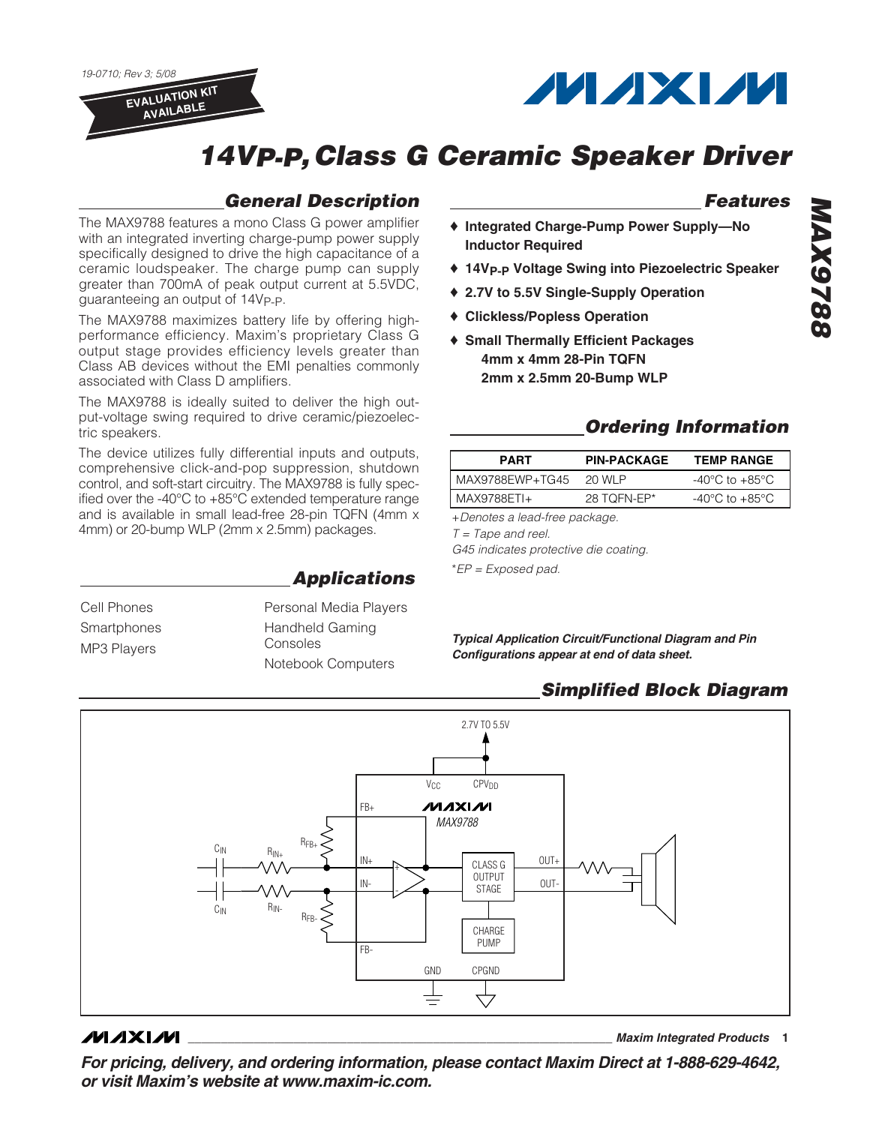19-0710; Rev 3; 5/08 **EVALUATION KIT**

**AVAILABLE**



# **14VP-P,Class G Ceramic Speaker Driver**

### **General Description**

The MAX9788 features a mono Class G power amplifier with an integrated inverting charge-pump power supply specifically designed to drive the high capacitance of a ceramic loudspeaker. The charge pump can supply greater than 700mA of peak output current at 5.5VDC, guaranteeing an output of 14V<sub>P-P</sub>.

The MAX9788 maximizes battery life by offering highperformance efficiency. Maxim's proprietary Class G output stage provides efficiency levels greater than Class AB devices without the EMI penalties commonly associated with Class D amplifiers.

The MAX9788 is ideally suited to deliver the high output-voltage swing required to drive ceramic/piezoelectric speakers.

The device utilizes fully differential inputs and outputs, comprehensive click-and-pop suppression, shutdown control, and soft-start circuitry. The MAX9788 is fully specified over the -40°C to +85°C extended temperature range and is available in small lead-free 28-pin TQFN (4mm x 4mm) or 20-bump WLP (2mm x 2.5mm) packages.

**Applications**

Cell Phones **Smartphones** MP3 Players

Personal Media Players Handheld Gaming Consoles Notebook Computers

### **Features**

- ♦ **Integrated Charge-Pump Power Supply—No Inductor Required**
- ♦ **14VP-P Voltage Swing into Piezoelectric Speaker**
- ♦ **2.7V to 5.5V Single-Supply Operation**
- ♦ **Clickless/Popless Operation**
- ♦ **Small Thermally Efficient Packages 4mm x 4mm 28-Pin TQFN 2mm x 2.5mm 20-Bump WLP**

### **Ordering Information**

| <b>PART</b>     | <b>PIN-PACKAGE</b> | <b>TEMP RANGE</b>                  |
|-----------------|--------------------|------------------------------------|
| MAX9788EWP+TG45 | 20 WI P            | $-40^{\circ}$ C to $+85^{\circ}$ C |
| MAX9788ETI+     | 28 TOFN-EP*        | $-40^{\circ}$ C to $+85^{\circ}$ C |

+Denotes a lead-free package.  $T = \text{Tape}$  and reel.

G45 indicates protective die coating.

\*EP = Exposed pad.

**Typical Application Circuit/Functional Diagram and Pin Configurations appear at end of data sheet.**

### **Simplified Block Diagram**



### **MAXIM**

**\_\_\_\_\_\_\_\_\_\_\_\_\_\_\_\_\_\_\_\_\_\_\_\_\_\_\_\_\_\_\_\_\_\_\_\_\_\_\_\_\_\_\_\_\_\_\_\_\_\_\_\_\_\_\_\_\_\_\_\_\_\_\_\_ Maxim Integrated Products 1**

**For pricing, delivery, and ordering information, please contact Maxim Direct at 1-888-629-4642, or visit Maxim's website at www.maxim-ic.com.**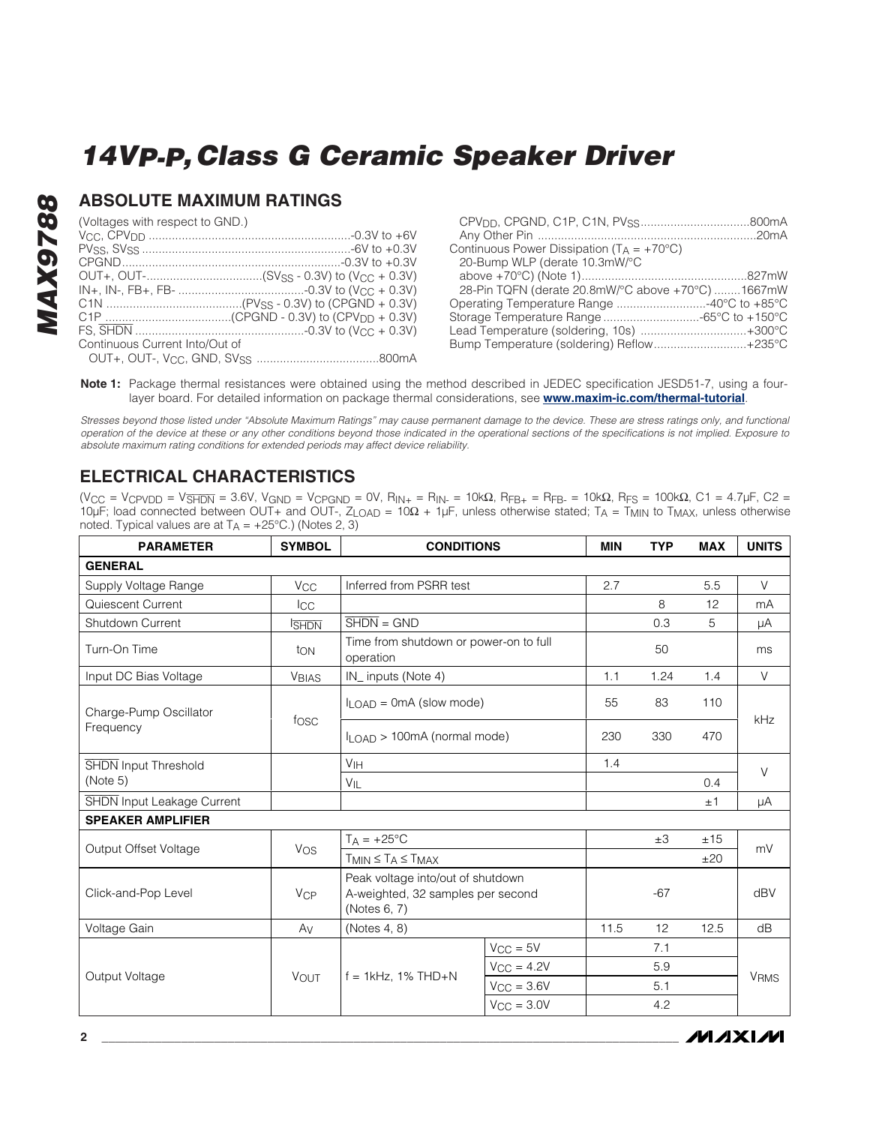### **ABSOLUTE MAXIMUM RATINGS**

(Voltages with respect to GND.)

**MAX9788**

**MAX9788** 

| Continuous Current Into/Out of |  |
|--------------------------------|--|
|                                |  |
|                                |  |

| Continuous Power Dissipation ( $T_A = +70^{\circ}C$ ) |  |
|-------------------------------------------------------|--|
| 20-Bump WLP (derate 10.3mW/°C                         |  |
|                                                       |  |
| 28-Pin TQFN (derate 20.8mW/°C above +70°C) 1667mW     |  |
| Operating Temperature Range 40°C to +85°C             |  |
|                                                       |  |
| Lead Temperature (soldering, 10s) +300°C              |  |
| Bump Temperature (soldering) Reflow+235°C             |  |
|                                                       |  |

Note 1: Package thermal resistances were obtained using the method described in JEDEC specification JESD51-7, using a fourlayer board. For detailed information on package thermal considerations, see **[www.maxim-ic.com/thermal-tutorial](http://www.maxim-ic.com/appnotes.cfm/an_pk/4083)**.

Stresses beyond those listed under "Absolute Maximum Ratings" may cause permanent damage to the device. These are stress ratings only, and functional operation of the device at these or any other conditions beyond those indicated in the operational sections of the specifications is not implied. Exposure to absolute maximum rating conditions for extended periods may affect device reliability.

### **ELECTRICAL CHARACTERISTICS**

(VCC = VCPVDD = V<del>SHDN</del> = 3.6V, VGND = VCPGND = 0V, R<sub>IN+</sub> = R<sub>IN-</sub> = 10kΩ, R<sub>FB+</sub> = R<sub>FB-</sub> = 10kΩ, R<sub>FS</sub> = 100kΩ, C1 = 4.7µF, C2 = 10µF; load connected between OUT+ and OUT-, ZLOAD = 10Ω + 1µF, unless otherwise stated; TA = TMIN to TMAX, unless otherwise noted. Typical values are at  $T_A = +25^{\circ}C$ .) (Notes 2, 3)

| <b>PARAMETER</b>                  | <b>SYMBOL</b>         | <b>CONDITIONS</b>                                                                      |                     | <b>MIN</b> | <b>TYP</b> | <b>MAX</b> | <b>UNITS</b>           |
|-----------------------------------|-----------------------|----------------------------------------------------------------------------------------|---------------------|------------|------------|------------|------------------------|
| <b>GENERAL</b>                    |                       |                                                                                        |                     |            |            |            |                        |
| Supply Voltage Range              | V <sub>CC</sub>       | Inferred from PSRR test                                                                |                     | 2.7        |            | 5.5        | V                      |
| Quiescent Current                 | $_{\rm{ICC}}$         |                                                                                        |                     |            | 8          | 12         | mA                     |
| Shutdown Current                  | <b>ISHDN</b>          | $\overline{\text{SHDN}} = \text{GND}$                                                  |                     |            | 0.3        | 5          | μA                     |
| Turn-On Time                      | ton                   | Time from shutdown or power-on to full<br>operation                                    |                     |            | 50         |            | ms                     |
| Input DC Bias Voltage             | <b>VBIAS</b>          | IN_ inputs (Note 4)                                                                    |                     | 1.1        | 1.24       | 1.4        | V                      |
| Charge-Pump Oscillator            | fosc                  | $I_{LOAD} = 0 \text{mA}$ (slow mode)                                                   |                     | 55         | 83         | 110        | kHz                    |
| Frequency                         |                       | ILOAD > 100mA (normal mode)                                                            |                     | 230        | 330        | 470        |                        |
| <b>SHDN</b> Input Threshold       |                       | V <sub>IH</sub>                                                                        |                     | 1.4        |            |            | $\vee$                 |
| (Note 5)                          |                       | $V_{IL}$                                                                               |                     |            |            | 0.4        |                        |
| <b>SHDN</b> Input Leakage Current |                       |                                                                                        |                     |            |            | ±1         | μA                     |
| <b>SPEAKER AMPLIFIER</b>          |                       |                                                                                        |                     |            |            |            |                        |
| Output Offset Voltage             | Vos                   | $T_A = +25$ °C                                                                         |                     |            | $\pm 3$    | ±15        | mV                     |
|                                   |                       | $T_{MIN} \leq T_A \leq T_{MAX}$                                                        |                     |            |            | ±20        |                        |
| Click-and-Pop Level               | <b>V<sub>CP</sub></b> | Peak voltage into/out of shutdown<br>A-weighted, 32 samples per second<br>(Notes 6, 7) |                     |            | $-67$      |            | dBV                    |
| Voltage Gain                      | Av                    | (Notes 4, 8)                                                                           |                     | 11.5       | 12         | 12.5       | dB                     |
|                                   | VOUT                  | $f = 1$ kHz, 1% THD+N                                                                  | $V_{CC} = 5V$       |            | 7.1        |            |                        |
|                                   |                       |                                                                                        | $V_{CC} = 4.2V$     |            | 5.9        |            | <b>V<sub>RMS</sub></b> |
| Output Voltage                    |                       |                                                                                        | $V_{CC} = 3.6V$     |            | 5.1        |            |                        |
|                                   |                       |                                                                                        | $V_{\rm CC} = 3.0V$ |            | 4.2        |            |                        |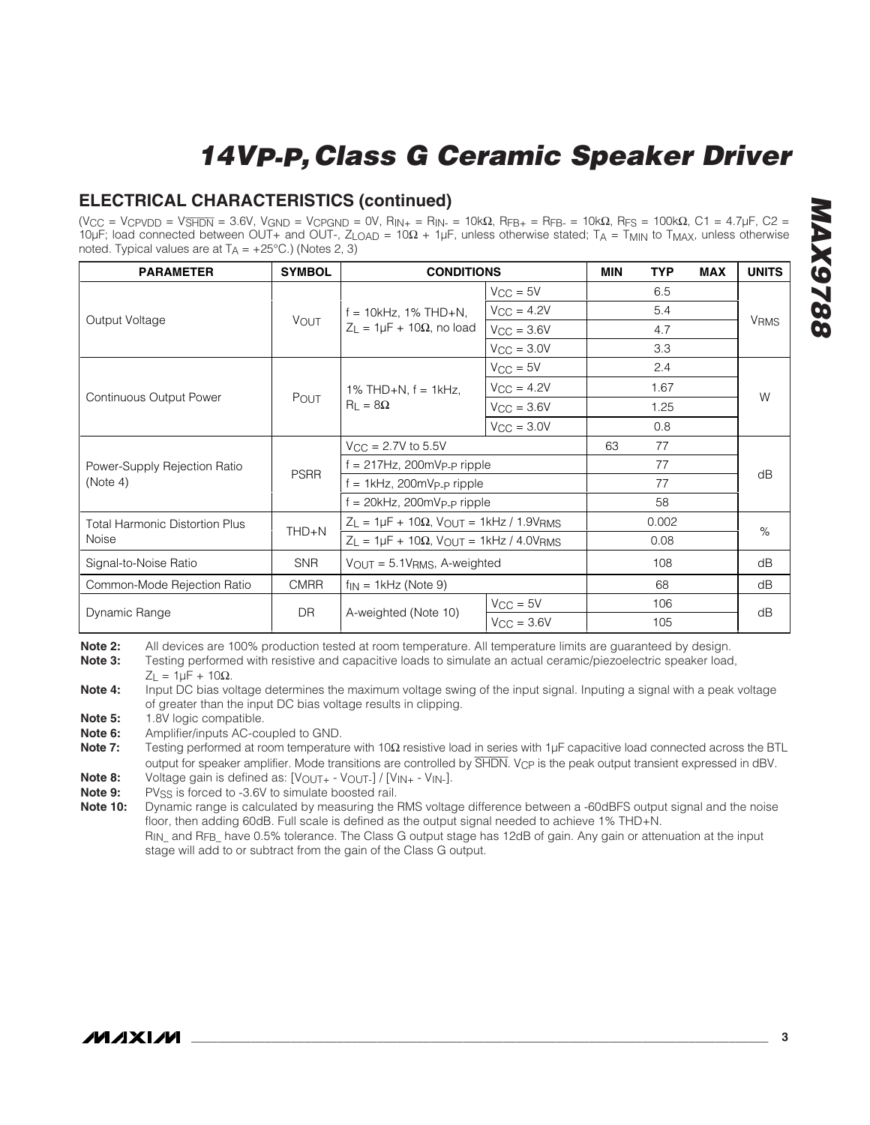### **ELECTRICAL CHARACTERISTICS (continued)**

 $(V_{CC} = V_{CPVDD} = V_{\overline{SHDN}} = 3.6V, V_{GND} = V_{CPGND} = 0V, R_{IN+} = R_{IN-} = 10kΩ, R_{FB+} = R_{FB-} = 10kΩ, R_{FS} = 100kΩ, C1 = 4.7 μF, C2 = 100kΩ, C1 = 1.7 μF, C2 = 1.7 μF, C1 = 1.7 μF, C2 = 1.7 μF, C3 = 1.7 μF, C4 = 1.7 μF, C5 = 1.7 μF, C6 = 1.7 μF, C7 = 1.7 μF, C8 = 1.7 μF, C9 = 1$ 10µF; load connected between OUT+ and OUT-, ZLOAD = 10Ω + 1µF, unless otherwise stated; TA = TMIN to TMAX, unless otherwise noted. Typical values are at  $T_A = +25^{\circ}C$ .) (Notes 2, 3)

| <b>PARAMETER</b>                      | <b>SYMBOL</b> | <b>CONDITIONS</b>                                                   | <b>MIN</b>             | <b>TYP</b> | <b>MAX</b> | <b>UNITS</b> |                        |
|---------------------------------------|---------------|---------------------------------------------------------------------|------------------------|------------|------------|--------------|------------------------|
|                                       | <b>VOUT</b>   |                                                                     | $V_{CC} = 5V$          |            | 6.5        |              | <b>V<sub>RMS</sub></b> |
|                                       |               | $f = 10kHz$ , 1% THD+N,<br>$Z_L = 1 \mu F + 10 \Omega$ , no load    | $V_{CC} = 4.2V$        |            | 5.4        |              |                        |
| Output Voltage                        |               |                                                                     | $V_{CC} = 3.6V$        |            | 4.7        |              |                        |
|                                       |               |                                                                     | $V_{\text{CC}} = 3.0V$ |            | 3.3        |              |                        |
|                                       |               | 1% THD+N, $f = 1$ kHz,<br>$R_{L} = 8\Omega$                         | $V_{CC} = 5V$          |            | 2.4        |              | W                      |
|                                       | POUT          |                                                                     | $V_{CC} = 4.2V$        |            | 1.67       |              |                        |
| <b>Continuous Output Power</b>        |               |                                                                     | $V_{CC} = 3.6V$        |            | 1.25       |              |                        |
|                                       |               |                                                                     | $V_{\text{CC}} = 3.0V$ |            | 0.8        |              |                        |
| Power-Supply Rejection Ratio          |               | $V_{CC} = 2.7V$ to 5.5V                                             |                        | 63         | 77         |              |                        |
|                                       | <b>PSRR</b>   | f = 217Hz, 200mVp-p ripple                                          |                        |            | 77         |              | dB                     |
| (Note 4)                              |               | = 1kHz, 200mV <sub>P-P</sub> ripple                                 |                        |            | 77         |              |                        |
|                                       |               | $f = 20$ kHz, 200mVp-p ripple                                       |                        |            | 58         |              |                        |
| <b>Total Harmonic Distortion Plus</b> |               | $Z_L = 1 \mu F + 10 \Omega$ , $V_{OUT} = 1 \kappa Hz / 1.9 V_{RMS}$ |                        |            | 0.002      |              | %                      |
| Noise                                 | $THD + N$     | $Z_L = 1 \mu F + 10 \Omega$ , $V_{OUT} = 1 \kappa Hz / 4.0 V_{RMS}$ |                        |            | 0.08       |              |                        |
| Signal-to-Noise Ratio                 | <b>SNR</b>    | $V_{OUT} = 5.1V_{RMS}$ , A-weighted                                 |                        |            | 108        |              | dB                     |
| Common-Mode Rejection Ratio           | <b>CMRR</b>   | $f_{IN}$ = 1kHz (Note 9)                                            |                        |            | 68         |              | dB                     |
|                                       | <b>DR</b>     |                                                                     | $V_{CC} = 5V$          |            | 106        |              | dB                     |
| Dynamic Range                         |               | A-weighted (Note 10)                                                | $V_{CC} = 3.6V$        |            | 105        |              |                        |

**Note 2:** All devices are 100% production tested at room temperature. All temperature limits are guaranteed by design.<br>**Note 3:** Testing performed with resistive and capacitive loads to simulate an actual ceramic/piezoelec

**Note 3:** Testing performed with resistive and capacitive loads to simulate an actual ceramic/piezoelectric speaker load,

 $Z = 1$ μF + 10Ω.

**Note 4:** Input DC bias voltage determines the maximum voltage swing of the input signal. Inputing a signal with a peak voltage of greater than the input DC bias voltage results in clipping.

**Note 5:** 1.8V logic compatible.<br>**Note 6:** Amplifier/inputs AC-co

**Note 6:** Amplifier/inputs AC-coupled to GND.

**Note 7:** Testing performed at room temperature with 10Ω resistive load in series with 1µF capacitive load connected across the BTL output for speaker amplifier. Mode transitions are controlled by **SHDN**. V<sub>CP</sub> is the peak output transient expressed in dBV.

**Note 8:** Voltage gain is defined as: [V<sub>OUT+</sub> - V<sub>OUT-</sub>] / [V<sub>IN+</sub> - V<sub>IN-</sub>].<br>**Note 9:** PVss is forced to -3.6V to simulate boosted rail.

**Note 9:** PV<sub>SS</sub> is forced to -3.6V to simulate boosted rail.<br>**Note 10:** Dynamic range is calculated by measuring the l

**Note 10:** Dynamic range is calculated by measuring the RMS voltage difference between a -60dBFS output signal and the noise floor, then adding 60dB. Full scale is defined as the output signal needed to achieve 1% THD+N. R<sub>IN</sub> and R<sub>FB</sub> have 0.5% tolerance. The Class G output stage has 12dB of gain. Any gain or attenuation at the input

stage will add to or subtract from the gain of the Class G output.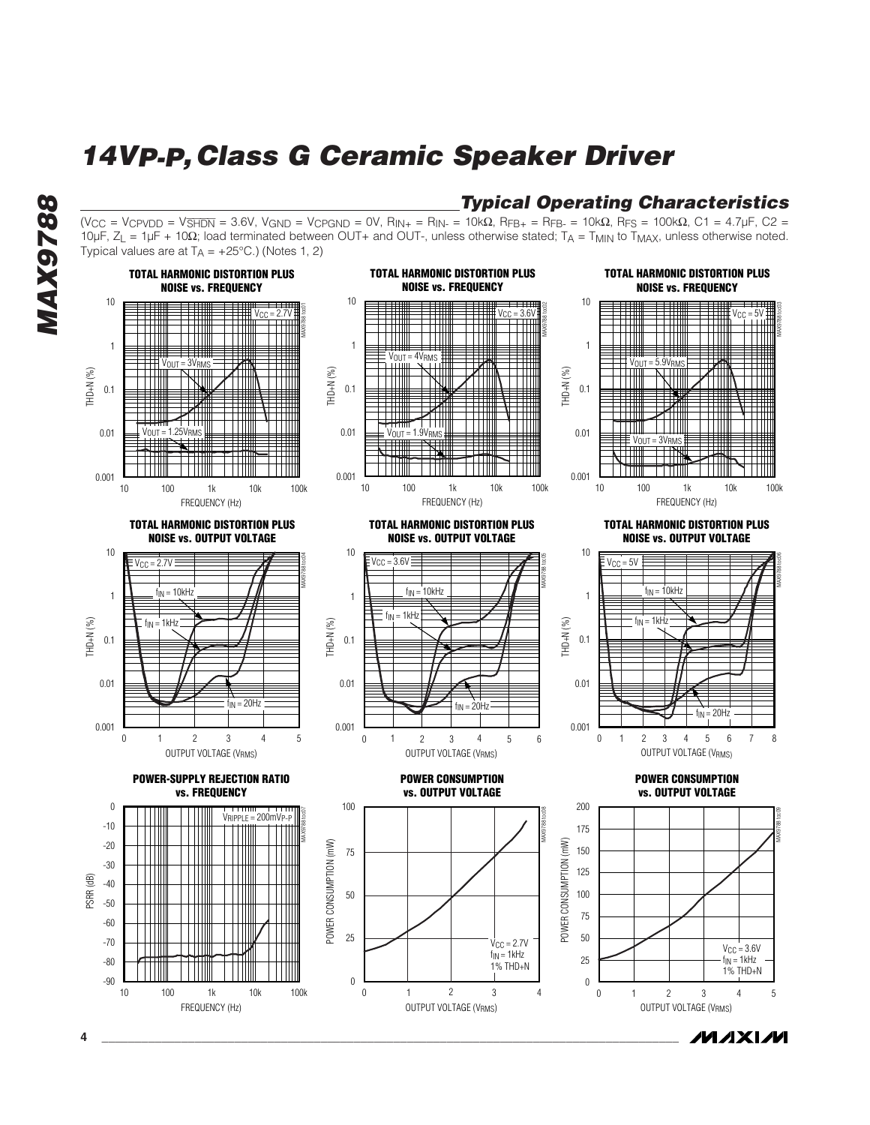$(V_{CC} = V_{CPVDD} = V_{\overline{\text{SHDN}}} = 3.6V, V_{\text{GND}} = V_{CPGND} = 0V, R_{IN+} = R_{IN-} = 10kΩ, R_{FB+} = R_{FB-} = 10kΩ, R_{FS} = 100kΩ, C1 = 4.7 μF, C2 = 100kΩ, C1 = 1.7 μF, C2 = 1.00060$ 10µF, ZL = 1µF + 10Ω; load terminated between OUT+ and OUT-, unless otherwise stated; TA = TMIN to TMAX, unless otherwise noted.

**Typical Operating Characteristics**

# **MAX9788 8876XWW**



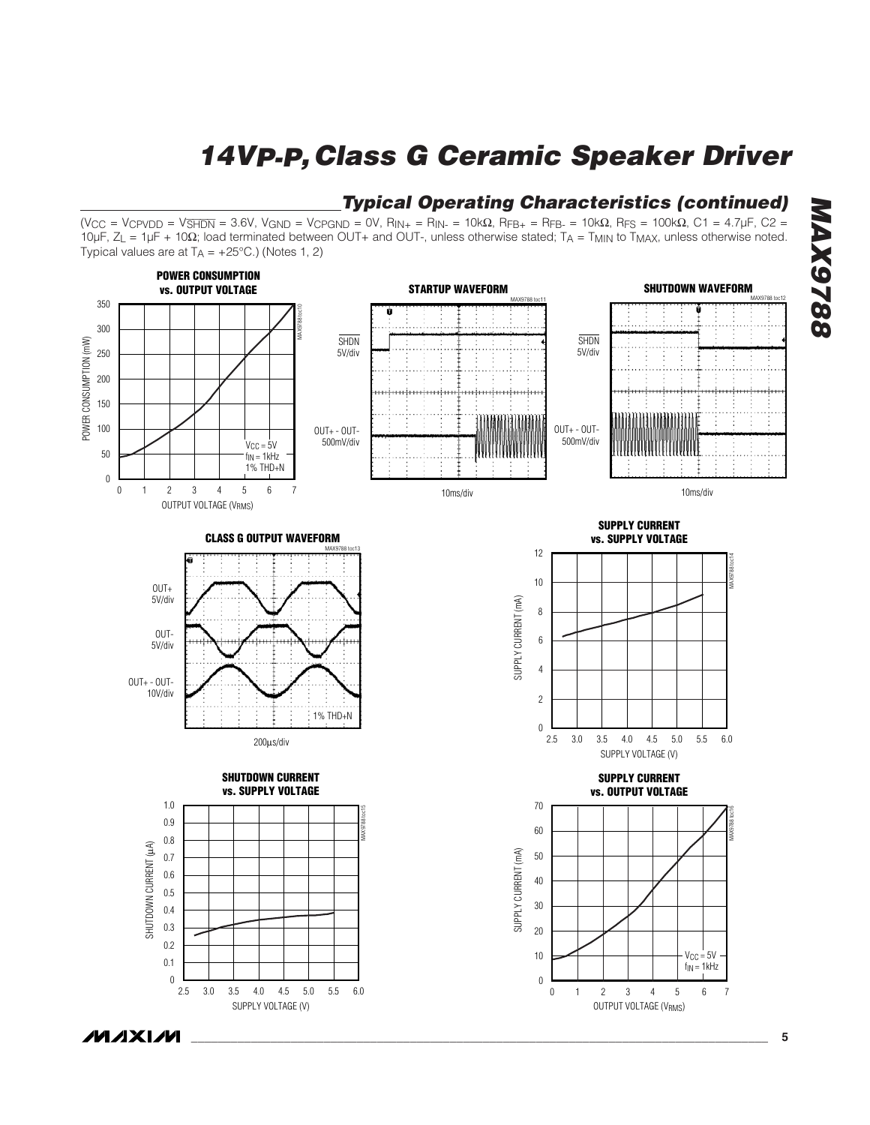

**Typical Operating Characteristics (continued)**

**MAXM** 

**MAX9788**

**8826XVM**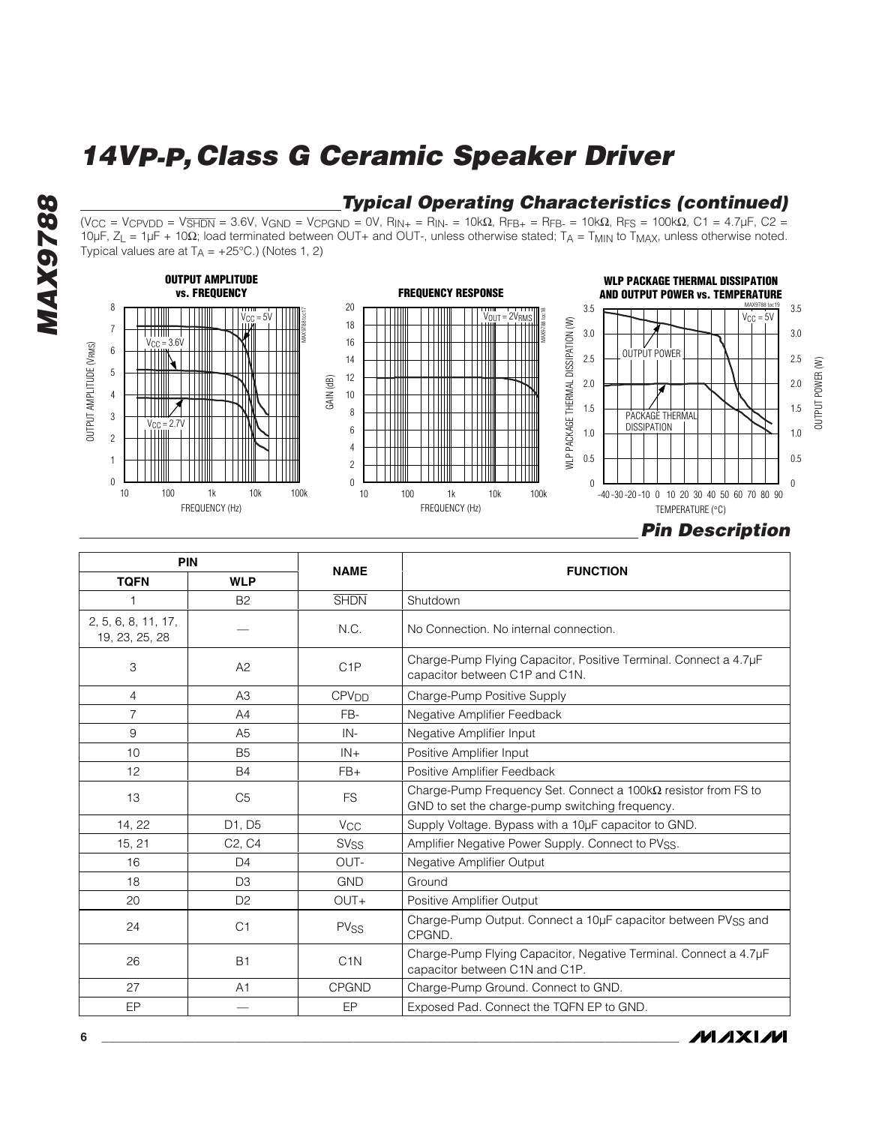### **Typical Operating Characteristics (continued)**

 $(V_{CC} = V_{CPVDD} = V_{\overline{\text{SHDN}}} = 3.6V, V_{\text{GND}} = V_{CPGND} = 0V, R_{IN+} = R_{IN-} = 10kΩ, R_{FB+} = R_{FB-} = 10kΩ, R_{FS} = 100kΩ, C1 = 4.7 μF, C2 = 100kΩ, C1 = 1.7 μF, C2 = 1.0006 Ω, C1 = 1.0006 Ω, C1 = 1.0006 Ω, C1 = 1.0006 Ω, C1 = 1.0006 Ω, C1 = 1.0006 Ω, C1 = 1.0006 Ω$ 10µF, ZL = 1µF + 10Ω; load terminated between OUT+ and OUT-, unless otherwise stated; TA = TMIN to TMAX, unless otherwise noted. Typical values are at  $T_A = +25^{\circ}C$ .) (Notes 1, 2)





| <b>PIN</b>                            |                                 |                         |                                                                                                                          |  |
|---------------------------------------|---------------------------------|-------------------------|--------------------------------------------------------------------------------------------------------------------------|--|
| <b>TQFN</b>                           | <b>WLP</b>                      | <b>NAME</b>             | <b>FUNCTION</b>                                                                                                          |  |
|                                       | <b>B2</b>                       | <b>SHDN</b>             | Shutdown                                                                                                                 |  |
| 2, 5, 6, 8, 11, 17,<br>19, 23, 25, 28 |                                 | N.C.                    | No Connection. No internal connection.                                                                                   |  |
| 3                                     | A2                              | C <sub>1</sub> P        | Charge-Pump Flying Capacitor, Positive Terminal. Connect a 4.7µF<br>capacitor between C1P and C1N.                       |  |
| $\overline{4}$                        | A3                              | <b>CPV<sub>DD</sub></b> | Charge-Pump Positive Supply                                                                                              |  |
| $\overline{7}$                        | A4                              | FB-                     | Negative Amplifier Feedback                                                                                              |  |
| 9                                     | A <sub>5</sub>                  | IN-                     | Negative Amplifier Input                                                                                                 |  |
| 10                                    | B <sub>5</sub>                  | $IN +$                  | Positive Amplifier Input                                                                                                 |  |
| 12                                    | <b>B4</b>                       | $FB+$                   | Positive Amplifier Feedback                                                                                              |  |
| 13                                    | C <sub>5</sub>                  | <b>FS</b>               | Charge-Pump Frequency Set. Connect a $100k\Omega$ resistor from FS to<br>GND to set the charge-pump switching frequency. |  |
| 14, 22                                | D1, D5                          | <b>V<sub>CC</sub></b>   | Supply Voltage. Bypass with a 10µF capacitor to GND.                                                                     |  |
| 15, 21                                | C <sub>2</sub> , C <sub>4</sub> | SV <sub>SS</sub>        | Amplifier Negative Power Supply. Connect to PVSS.                                                                        |  |
| 16                                    | D <sub>4</sub>                  | OUT-                    | Negative Amplifier Output                                                                                                |  |
| 18                                    | D <sub>3</sub>                  | <b>GND</b>              | Ground                                                                                                                   |  |
| 20                                    | D <sub>2</sub>                  | OUT+                    | Positive Amplifier Output                                                                                                |  |
| 24                                    | C <sub>1</sub>                  | <b>PVSS</b>             | Charge-Pump Output. Connect a 10µF capacitor between PVSS and<br>CPGND.                                                  |  |
| 26                                    | <b>B1</b>                       | C <sub>1</sub> N        | Charge-Pump Flying Capacitor, Negative Terminal. Connect a 4.7µF<br>capacitor between C1N and C1P.                       |  |
| 27                                    | A1                              | <b>CPGND</b>            | Charge-Pump Ground. Connect to GND.                                                                                      |  |
| EP                                    |                                 | EP                      | Exposed Pad. Connect the TQFN EP to GND.                                                                                 |  |



**MAX9788 MAX9788**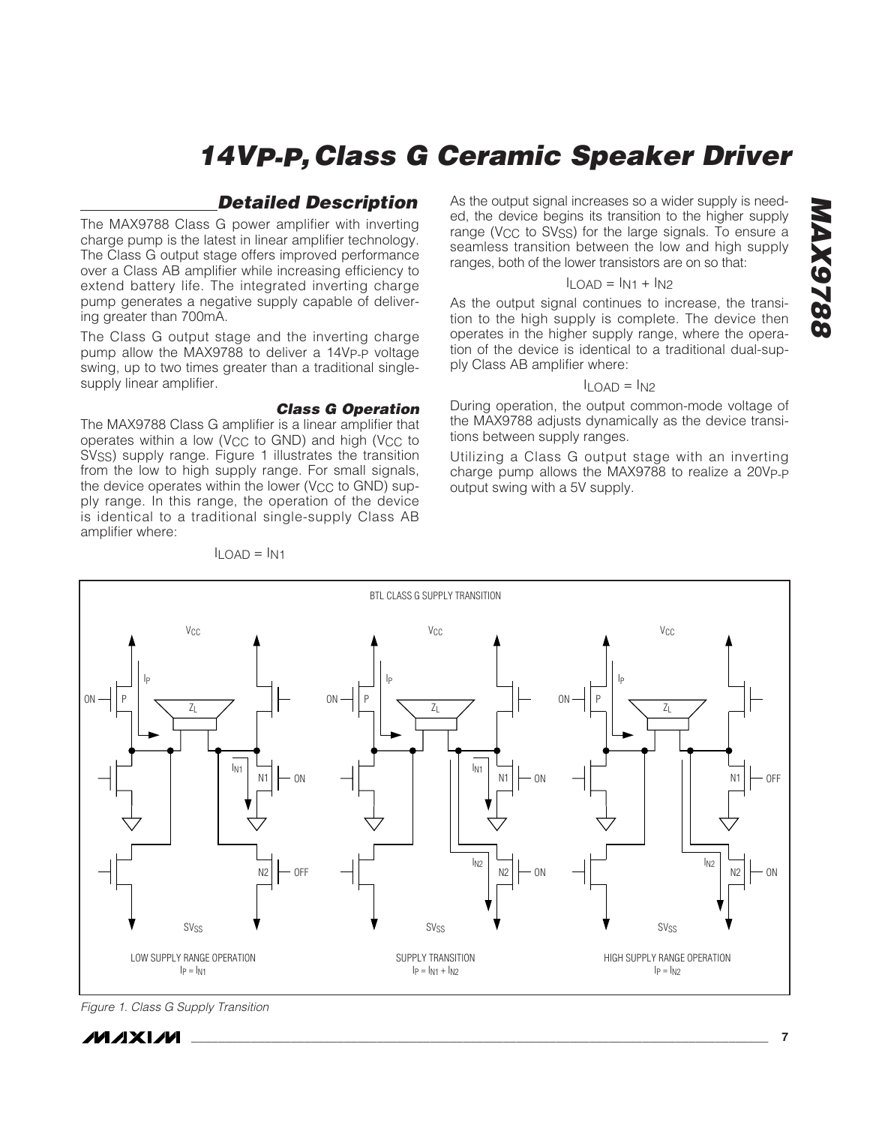### **Detailed Description**

The MAX9788 Class G power amplifier with inverting charge pump is the latest in linear amplifier technology. The Class G output stage offers improved performance over a Class AB amplifier while increasing efficiency to extend battery life. The integrated inverting charge pump generates a negative supply capable of delivering greater than 700mA.

The Class G output stage and the inverting charge pump allow the MAX9788 to deliver a 14VP-P voltage swing, up to two times greater than a traditional singlesupply linear amplifier.

#### **Class G Operation**

The MAX9788 Class G amplifier is a linear amplifier that operates within a low (V<sub>CC</sub> to GND) and high (V<sub>CC</sub> to SV<sub>SS</sub>) supply range. Figure 1 illustrates the transition from the low to high supply range. For small signals, the device operates within the lower ( $V_{CC}$  to GND) supply range. In this range, the operation of the device is identical to a traditional single-supply Class AB amplifier where:

ON IN1 IN1 P N<sup>1</sup> N2 IP ON OFF ZL **V<sub>CC</sub>** SV<sub>SS</sub> LOW SUPPLY RANGE OPERATION  $|p = |M|$ ON  $\frac{1}{102}$   $\frac{1}{102}$   $\frac{1}{102}$   $\frac{1}{102}$   $\frac{1}{102}$ P N1 N2 IP ON ON ZL V<sub>CC</sub> BTL CLASS G SUPPLY TRANSITION SV<sub>SS</sub> SUPPLY TRANSITION  $I_P = I_{N1} + I_{N2}$  $ON - IP$  $N<sub>1</sub>$ N2 IP OFF ON ZL V<sub>CC</sub> SV<sub>SS</sub> HIGH SUPPLY RANGE OPERATION  $|p = |M2$ 

 $I$ LOAD =  $I$ N1

As the output signal increases so a wider supply is needed, the device begins its transition to the higher supply range (V<sub>CC</sub> to SV<sub>SS</sub>) for the large signals. To ensure a seamless transition between the low and high supply ranges, both of the lower transistors are on so that:

#### $I_{\text{LOAD}} = I_{N1} + I_{N2}$

As the output signal continues to increase, the transition to the high supply is complete. The device then operates in the higher supply range, where the operation of the device is identical to a traditional dual-supply Class AB amplifier where:

#### $I_{\text{LOAD}} = I_{N2}$

During operation, the output common-mode voltage of the MAX9788 adjusts dynamically as the device transitions between supply ranges.

Utilizing a Class G output stage with an inverting charge pump allows the MAX9788 to realize a 20VP-P output swing with a 5V supply.

Figure 1. Class G Supply Transition

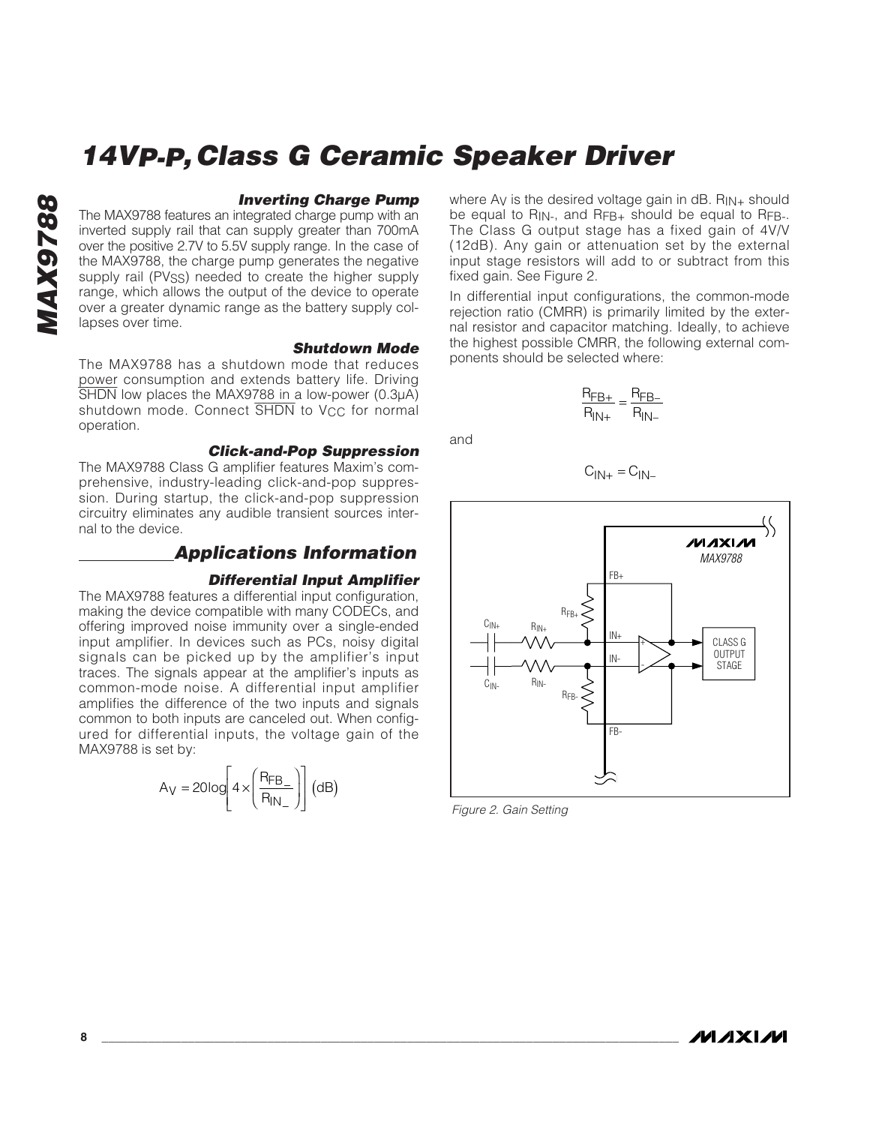#### **Inverting Charge Pump**

The MAX9788 features an integrated charge pump with an inverted supply rail that can supply greater than 700mA over the positive 2.7V to 5.5V supply range. In the case of the MAX9788, the charge pump generates the negative supply rail (PV<sub>SS</sub>) needed to create the higher supply range, which allows the output of the device to operate over a greater dynamic range as the battery supply collapses over time.

#### **Shutdown Mode**

The MAX9788 has a shutdown mode that reduces power consumption and extends battery life. Driving SHDN low places the MAX9788 in a low-power (0.3µA) shutdown mode. Connect SHDN to V<sub>CC</sub> for normal operation.

#### **Click-and-Pop Suppression**

The MAX9788 Class G amplifier features Maxim's comprehensive, industry-leading click-and-pop suppression. During startup, the click-and-pop suppression circuitry eliminates any audible transient sources internal to the device.

#### **Applications Information**

#### **Differential Input Amplifier**

The MAX9788 features a differential input configuration, making the device compatible with many CODECs, and offering improved noise immunity over a single-ended input amplifier. In devices such as PCs, noisy digital signals can be picked up by the amplifier's input traces. The signals appear at the amplifier's inputs as common-mode noise. A differential input amplifier amplifies the difference of the two inputs and signals common to both inputs are canceled out. When configured for differential inputs, the voltage gain of the MAX9788 is set by:

$$
A_V = 20 \log \left[ 4 \times \left( \frac{R_{FB_{-}}}{R_{IN_{-}}} \right) \right] (dB)
$$

where Ay is the desired voltage gain in  $dB$ . R<sub>IN+</sub> should be equal to  $R_{IN}$ , and  $R_{FB+}$  should be equal to  $R_{FB-}$ . The Class G output stage has a fixed gain of 4V/V (12dB). Any gain or attenuation set by the external input stage resistors will add to or subtract from this fixed gain. See Figure 2.

In differential input configurations, the common-mode rejection ratio (CMRR) is primarily limited by the external resistor and capacitor matching. Ideally, to achieve the highest possible CMRR, the following external components should be selected where:

$$
\frac{R_{FB+}}{R_{IN+}} = \frac{R_{FB-}}{R_{IN-}}
$$

and

$$
C_{\vert N+}=C_{\vert N-}
$$



Figure 2. Gain Setting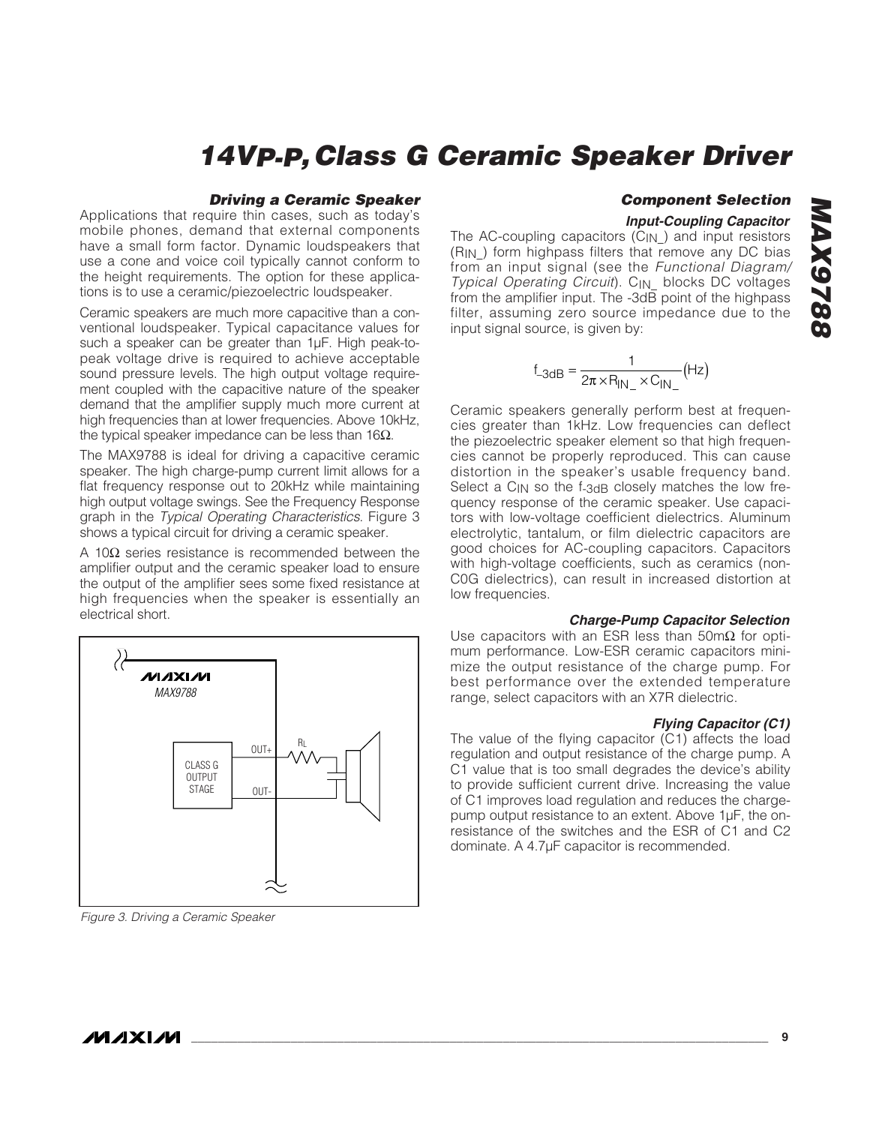#### **Driving a Ceramic Speaker**

Applications that require thin cases, such as today's mobile phones, demand that external components have a small form factor. Dynamic loudspeakers that use a cone and voice coil typically cannot conform to the height requirements. The option for these applications is to use a ceramic/piezoelectric loudspeaker.

Ceramic speakers are much more capacitive than a conventional loudspeaker. Typical capacitance values for such a speaker can be greater than 1µF. High peak-topeak voltage drive is required to achieve acceptable sound pressure levels. The high output voltage requirement coupled with the capacitive nature of the speaker demand that the amplifier supply much more current at high frequencies than at lower frequencies. Above 10kHz, the typical speaker impedance can be less than 16Ω.

The MAX9788 is ideal for driving a capacitive ceramic speaker. The high charge-pump current limit allows for a flat frequency response out to 20kHz while maintaining high output voltage swings. See the Frequency Response graph in the Typical Operating Characteristics. Figure 3 shows a typical circuit for driving a ceramic speaker.

A 10Ω series resistance is recommended between the amplifier output and the ceramic speaker load to ensure the output of the amplifier sees some fixed resistance at high frequencies when the speaker is essentially an electrical short.



Figure 3. Driving a Ceramic Speaker

### **Component Selection**

#### **Input-Coupling Capacitor**

The AC-coupling capacitors (C<sub>IN</sub>) and input resistors (RIN\_) form highpass filters that remove any DC bias from an input signal (see the Functional Diagram/ Typical Operating Circuit). CIN\_ blocks DC voltages from the amplifier input. The -3dB point of the highpass filter, assuming zero source impedance due to the input signal source, is given by:

$$
f_{-3dB} = \frac{1}{2\pi \times R_{IN_{-}} \times C_{IN_{-}}} (Hz)
$$

Ceramic speakers generally perform best at frequencies greater than 1kHz. Low frequencies can deflect the piezoelectric speaker element so that high frequencies cannot be properly reproduced. This can cause distortion in the speaker's usable frequency band. Select a C<sub>IN</sub> so the f-3dB closely matches the low frequency response of the ceramic speaker. Use capacitors with low-voltage coefficient dielectrics. Aluminum electrolytic, tantalum, or film dielectric capacitors are good choices for AC-coupling capacitors. Capacitors with high-voltage coefficients, such as ceramics (non-C0G dielectrics), can result in increased distortion at low frequencies.

#### **Charge-Pump Capacitor Selection**

Use capacitors with an ESR less than 50m $\Omega$  for optimum performance. Low-ESR ceramic capacitors minimize the output resistance of the charge pump. For best performance over the extended temperature range, select capacitors with an X7R dielectric.

#### **Flying Capacitor (C1)**

The value of the flying capacitor (C1) affects the load regulation and output resistance of the charge pump. A C1 value that is too small degrades the device's ability to provide sufficient current drive. Increasing the value of C1 improves load regulation and reduces the chargepump output resistance to an extent. Above 1µF, the onresistance of the switches and the ESR of C1 and C2 dominate. A 4.7µF capacitor is recommended.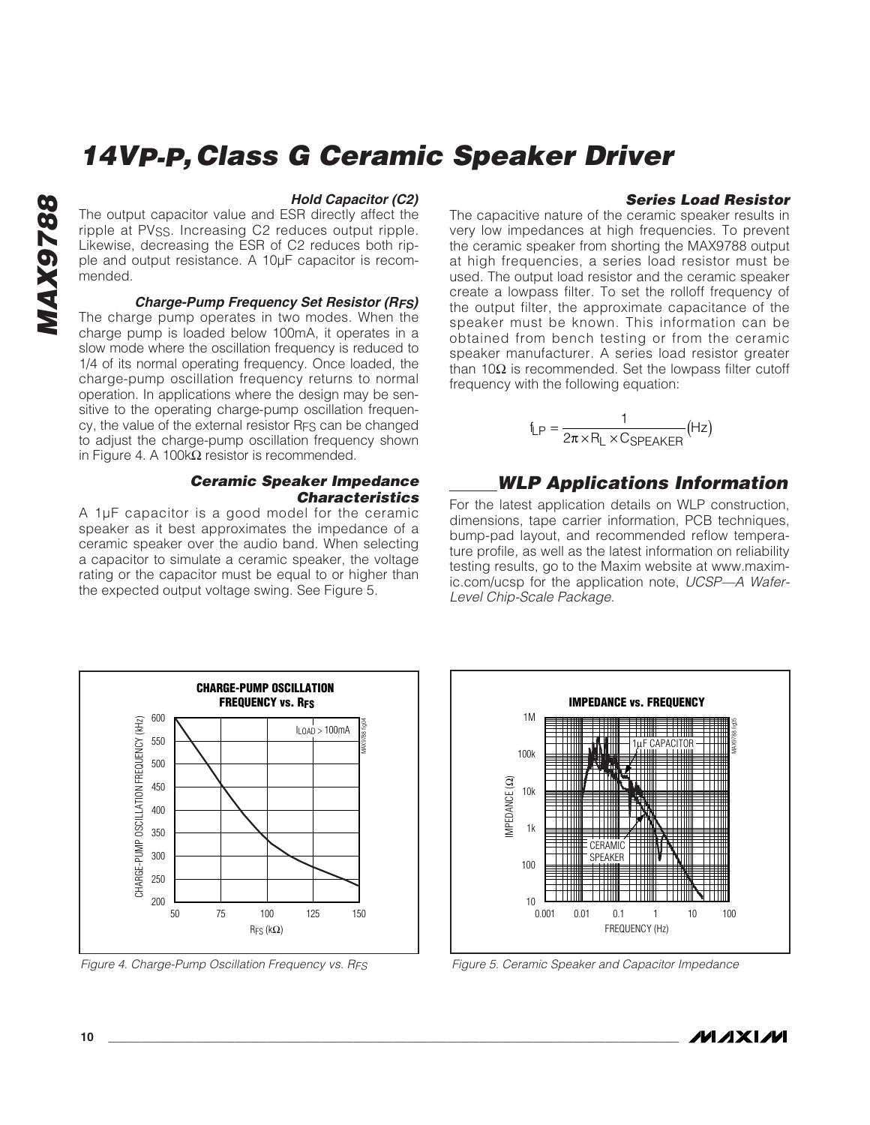# **MAX9788** 8876XW

#### **Hold Capacitor (C2)**

The output capacitor value and ESR directly affect the ripple at PVss. Increasing C2 reduces output ripple. Likewise, decreasing the ESR of C2 reduces both ripple and output resistance. A 10µF capacitor is recommended.

#### **Charge-Pump Frequency Set Resistor (RFS)** The charge pump operates in two modes. When the

charge pump is loaded below 100mA, it operates in a slow mode where the oscillation frequency is reduced to 1/4 of its normal operating frequency. Once loaded, the charge-pump oscillation frequency returns to normal operation. In applications where the design may be sensitive to the operating charge-pump oscillation frequency, the value of the external resistor RFS can be changed to adjust the charge-pump oscillation frequency shown in Figure 4. A 100kΩ resistor is recommended.

#### **Ceramic Speaker Impedance Characteristics**

A 1µF capacitor is a good model for the ceramic speaker as it best approximates the impedance of a ceramic speaker over the audio band. When selecting a capacitor to simulate a ceramic speaker, the voltage rating or the capacitor must be equal to or higher than the expected output voltage swing. See Figure 5.

#### **Series Load Resistor**

The capacitive nature of the ceramic speaker results in very low impedances at high frequencies. To prevent the ceramic speaker from shorting the MAX9788 output at high frequencies, a series load resistor must be used. The output load resistor and the ceramic speaker create a lowpass filter. To set the rolloff frequency of the output filter, the approximate capacitance of the speaker must be known. This information can be obtained from bench testing or from the ceramic speaker manufacturer. A series load resistor greater than 10Ω is recommended. Set the lowpass filter cutoff frequency with the following equation:

$$
f_{LP} = \frac{1}{2\pi \times R_L \times C_{SPEAKER}}(Hz)
$$

### **WLP Applications Information**

For the latest application details on WLP construction, dimensions, tape carrier information, PCB techniques, bump-pad layout, and recommended reflow temperature profile, as well as the latest information on reliability testing results, go to the Maxim website at www.maximic.com/ucsp for the application note, UCSP—A Wafer-Level Chip-Scale Package.





Figure 4. Charge-Pump Oscillation Frequency vs. RFS Figure 5. Ceramic Speaker and Capacitor Impedance

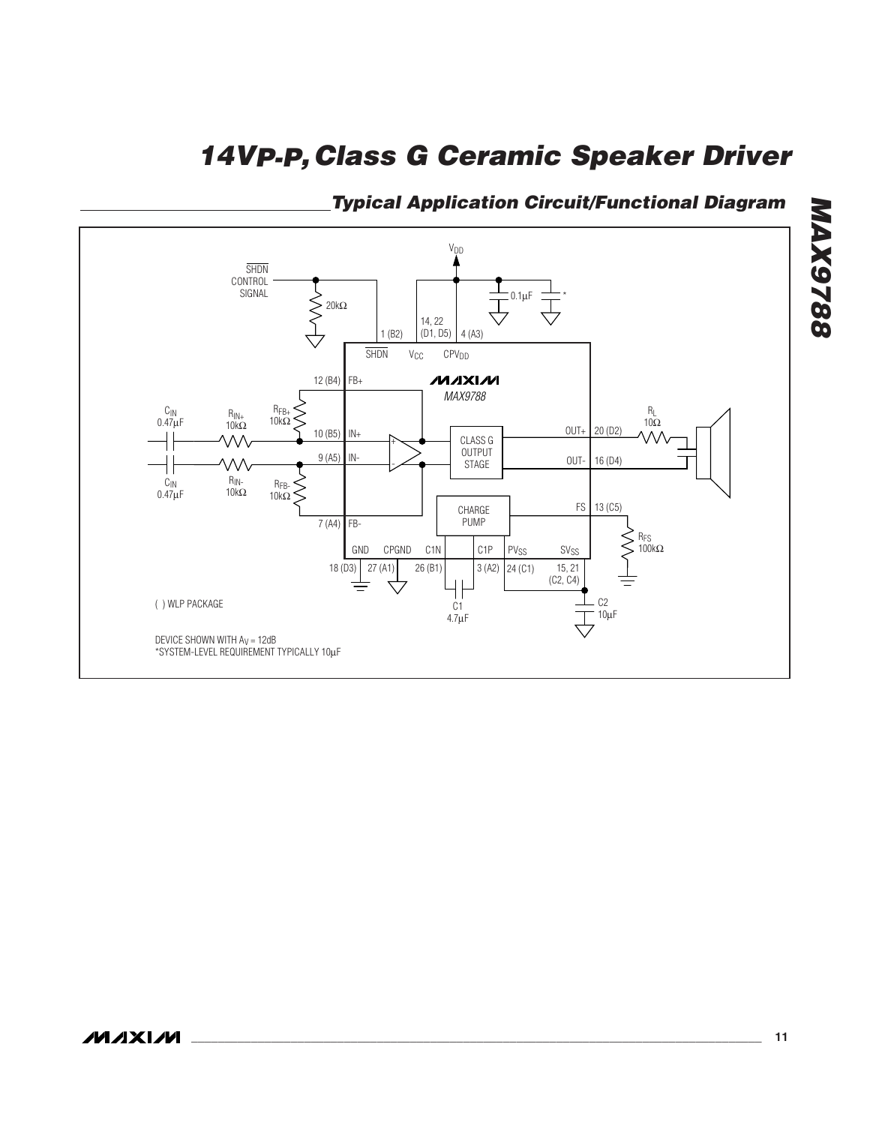

**Typical Application Circuit/Functional Diagram**

**MAX9788**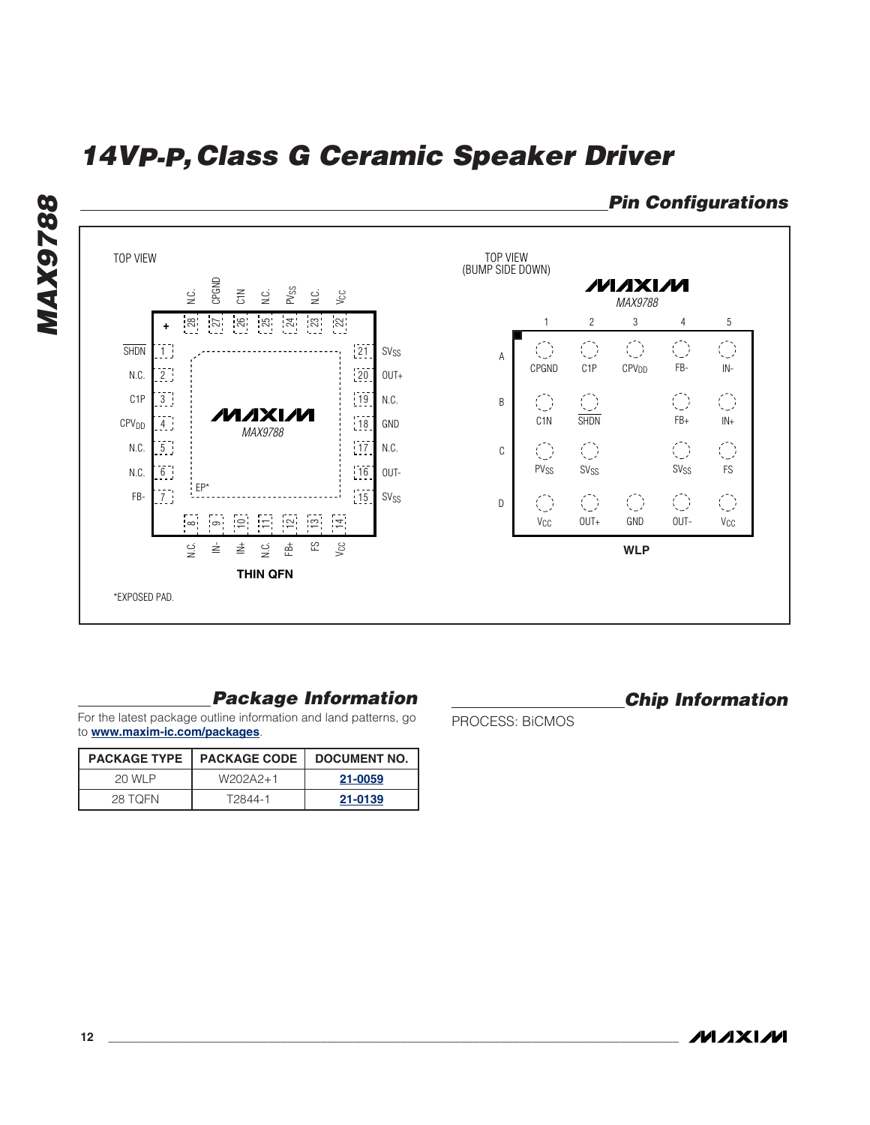

### **Package Information**

For the latest package outline information and land patterns, go to **www.maxim-ic.com/packages**.

|         | <b>PACKAGE TYPE   PACKAGE CODE</b> | DOCUMENT NO. |
|---------|------------------------------------|--------------|
| 20 WI P | W202A2+1                           | 21-0059      |
| 28 TOFN | T2844-1                            | 21-0139      |

**Chip Information**

PROCESS: BiCMOS